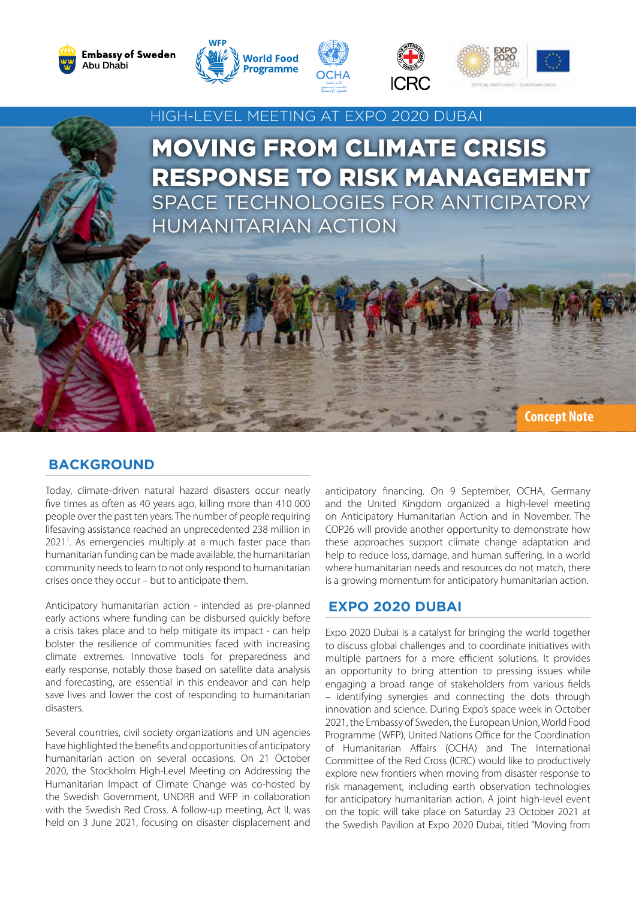









**Concept Note**

# HIGH-LEVEL MEETING AT EXPO 2020 DUBAI

MOVING FROM CLIMATE CRISIS RESPONSE TO RISK MANAGEMENT SPACE TECHNOLOGIES FOR ANTICIPATORY HUMANITARIAN ACTION

### **BACKGROUND**

Today, climate-driven natural hazard disasters occur nearly five times as often as 40 years ago, killing more than 410 000 people over the past ten years. The number of people requiring lifesaving assistance reached an unprecedented 238 million in 20211 . As emergencies multiply at a much faster pace than humanitarian funding can be made available, the humanitarian community needs to learn to not only respond to humanitarian crises once they occur – but to anticipate them.

Anticipatory humanitarian action - intended as pre-planned early actions where funding can be disbursed quickly before a crisis takes place and to help mitigate its impact - can help bolster the resilience of communities faced with increasing climate extremes. Innovative tools for preparedness and early response, notably those based on satellite data analysis and forecasting, are essential in this endeavor and can help save lives and lower the cost of responding to humanitarian disasters.

Several countries, civil society organizations and UN agencies have highlighted the benefits and opportunities of anticipatory humanitarian action on several occasions. On 21 October 2020, the Stockholm High-Level Meeting on Addressing the Humanitarian Impact of Climate Change was co-hosted by the Swedish Government, UNDRR and WFP in collaboration with the Swedish Red Cross. A follow-up meeting, Act II, was held on 3 June 2021, focusing on disaster displacement and

anticipatory financing. On 9 September, OCHA, Germany and the United Kingdom organized a high-level meeting on Anticipatory Humanitarian Action and in November. The COP26 will provide another opportunity to demonstrate how these approaches support climate change adaptation and help to reduce loss, damage, and human suffering. In a world where humanitarian needs and resources do not match, there is a growing momentum for anticipatory humanitarian action.

#### **EXPO 2020 DUBAI**

Expo 2020 Dubai is a catalyst for bringing the world together to discuss global challenges and to coordinate initiatives with multiple partners for a more efficient solutions. It provides an opportunity to bring attention to pressing issues while engaging a broad range of stakeholders from various fields – identifying synergies and connecting the dots through innovation and science. During Expo's space week in October 2021, the Embassy of Sweden, the European Union, World Food Programme (WFP), United Nations Office for the Coordination of Humanitarian Affairs (OCHA) and The International Committee of the Red Cross (ICRC) would like to productively explore new frontiers when moving from disaster response to risk management, including earth observation technologies for anticipatory humanitarian action. A joint high-level event on the topic will take place on Saturday 23 October 2021 at the Swedish Pavilion at Expo 2020 Dubai, titled "Moving from